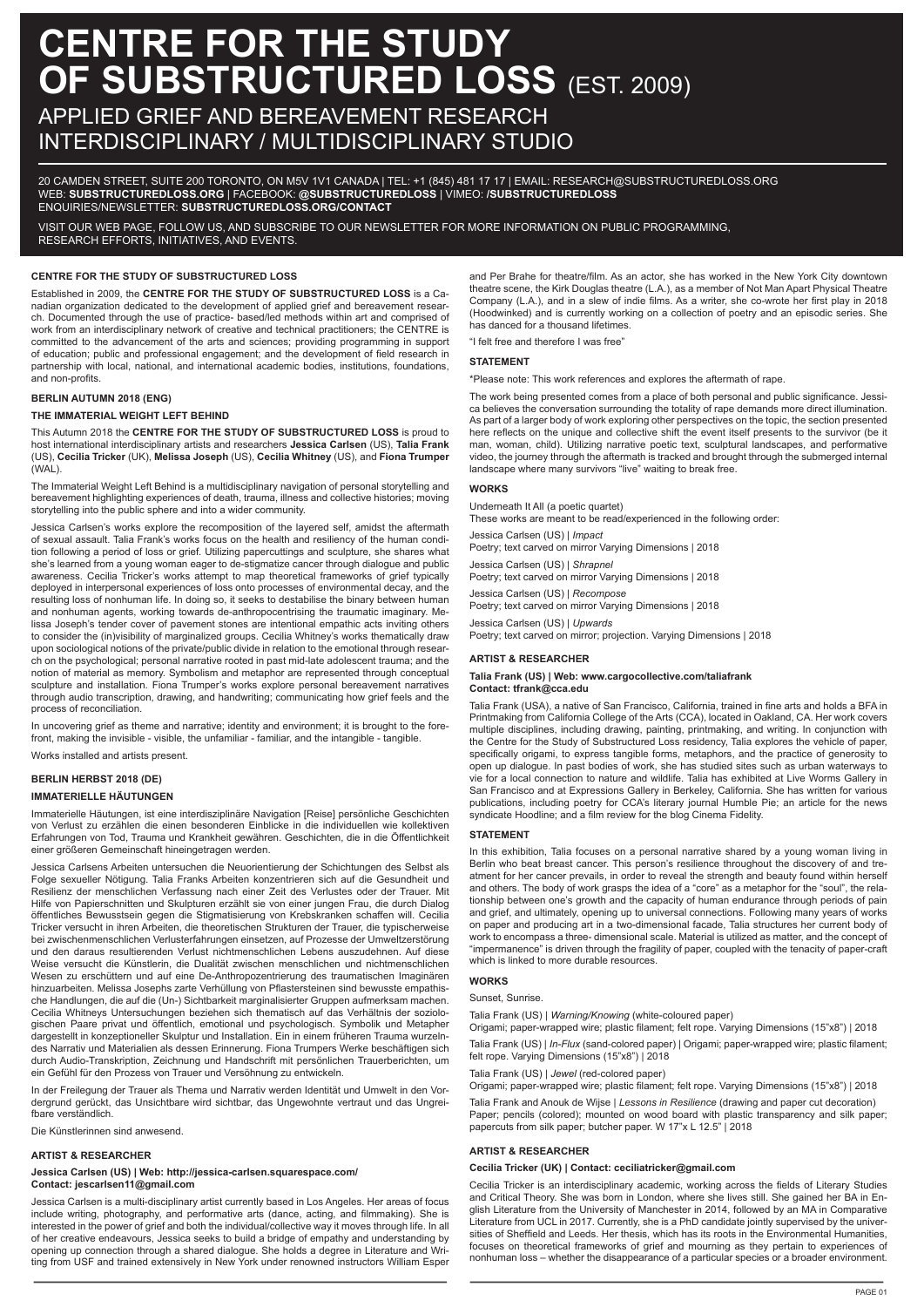# **CENTRE FOR THE STUDY OF SUBSTRUCTURED LOSS (EST. 2009)**

## APPLIED GRIEF AND BEREAVEMENT RESEARCH INTERDISCIPLINARY / MULTIDISCIPLINARY STUDIO

20 CAMDEN STREET, SUITE 200 TORONTO, ON M5V 1V1 CANADA | TEL: +1 (845) 481 17 17 | EMAIL: RESEARCH@SUBSTRUCTUREDLOSS.ORG WEB: **SUBSTRUCTUREDLOSS.ORG** | FACEBOOK: **@SUBSTRUCTUREDLOSS** | VIMEO: **/SUBSTRUCTUREDLOSS** ENQUIRIES/NEWSLETTER: **SUBSTRUCTUREDLOSS.ORG/CONTACT**

VISIT OUR WEB PAGE, FOLLOW US, AND SUBSCRIBE TO OUR NEWSLETTER FOR MORE INFORMATION ON PUBLIC PROGRAMMING, RESEARCH EFFORTS, INITIATIVES, AND EVENTS.

#### **CENTRE FOR THE STUDY OF SUBSTRUCTURED LOSS**

Established in 2009, the **CENTRE FOR THE STUDY OF SUBSTRUCTURED LOSS** is a Canadian organization dedicated to the development of applied grief and bereavement research. Documented through the use of practice- based/led methods within art and comprised of work from an interdisciplinary network of creative and technical practitioners; the CENTRE is committed to the advancement of the arts and sciences; providing programming in support of education; public and professional engagement; and the development of field research in partnership with local, national, and international academic bodies, institutions, foundations, and non-profits.

#### **BERLIN AUTUMN 2018 (ENG)**

#### **THE IMMATERIAL WEIGHT LEFT BEHIND**

This Autumn 2018 the **CENTRE FOR THE STUDY OF SUBSTRUCTURED LOSS** is proud to host international interdisciplinary artists and researchers **Jessica Carlsen** (US), **Talia Frank** (US), **Cecilia Tricker** (UK), **Melissa Joseph** (US), **Cecilia Whitney** (US), and **Fiona Trumper** (WAL).

The Immaterial Weight Left Behind is a multidisciplinary navigation of personal storytelling and bereavement highlighting experiences of death, trauma, illness and collective histories; moving storytelling into the public sphere and into a wider community.

Jessica Carlsen's works explore the recomposition of the layered self, amidst the aftermath of sexual assault. Talia Frank's works focus on the health and resiliency of the human condition following a period of loss or grief. Utilizing papercuttings and sculpture, she shares what she's learned from a young woman eager to de-stigmatize cancer through dialogue and public awareness. Cecilia Tricker's works attempt to map theoretical frameworks of grief typically deployed in interpersonal experiences of loss onto processes of environmental decay, and the resulting loss of nonhuman life. In doing so, it seeks to destabilise the binary between human and nonhuman agents, working towards de-anthropocentrising the traumatic imaginary. Melissa Joseph's tender cover of pavement stones are intentional empathic acts inviting others to consider the (in)visibility of marginalized groups. Cecilia Whitney's works thematically draw upon sociological notions of the private/public divide in relation to the emotional through research on the psychological; personal narrative rooted in past mid-late adolescent trauma; and the notion of material as memory. Symbolism and metaphor are represented through conceptual sculpture and installation. Fiona Trumper's works explore personal bereavement narratives through audio transcription, drawing, and handwriting; communicating how grief feels and the process of reconciliation.

In uncovering grief as theme and narrative; identity and environment; it is brought to the forefront, making the invisible - visible, the unfamiliar - familiar, and the intangible - tangible.

Works installed and artists present.

#### **BERLIN HERBST 2018 (DE)**

#### **IMMATERIELLE HÄUTUNGEN**

Immaterielle Häutungen, ist eine interdisziplinäre Navigation [Reise] persönliche Geschichten von Verlust zu erzählen die einen besonderen Einblicke in die individuellen wie kollektiven Erfahrungen von Tod, Trauma und Krankheit gewähren. Geschichten, die in die Öffentlichkeit einer größeren Gemeinschaft hineingetragen werden.

Jessica Carlsens Arbeiten untersuchen die Neuorientierung der Schichtungen des Selbst als Folge sexueller Nötigung. Talia Franks Arbeiten konzentrieren sich auf die Gesundheit und Resilienz der menschlichen Verfassung nach einer Zeit des Verlustes oder der Trauer. Mit Hilfe von Papierschnitten und Skulpturen erzählt sie von einer jungen Frau, die durch Dialog öffentliches Bewusstsein gegen die Stigmatisierung von Krebskranken schaffen will. Cecilia Tricker versucht in ihren Arbeiten, die theoretischen Strukturen der Trauer, die typischerweise bei zwischenmenschlichen Verlusterfahrungen einsetzen, auf Prozesse der Umweltzerstörung und den daraus resultierenden Verlust nichtmenschlichen Lebens auszudehnen. Auf diese Weise versucht die Künstlerin, die Dualität zwischen menschlichen und nichtmenschlichen Wesen zu erschüttern und auf eine De-Anthropozentrierung des traumatischen Imaginären hinzuarbeiten. Melissa Josephs zarte Verhüllung von Pflastersteinen sind bewusste empathische Handlungen, die auf die (Un-) Sichtbarkeit marginalisierter Gruppen aufmerksam machen. Cecilia Whitneys Untersuchungen beziehen sich thematisch auf das Verhältnis der soziolo-gischen Paare privat und öffentlich, emotional und psychologisch. Symbolik und Metapher dargestellt in konzeptioneller Skulptur und Installation. Ein in einem früheren Trauma wurzelndes Narrativ und Materialien als dessen Erinnerung. Fiona Trumpers Werke beschäftigen sich durch Audio-Transkription, Zeichnung und Handschrift mit persönlichen Trauerberichten, um ein Gefühl für den Prozess von Trauer und Versöhnung zu entwickeln.

In der Freilegung der Trauer als Thema und Narrativ werden Identität und Umwelt in den Vordergrund gerückt, das Unsichtbare wird sichtbar, das Ungewohnte vertraut und das Ungreifbare verständlich.

Die Künstlerinnen sind anwesend.

#### **ARTIST & RESEARCHER**

#### **Jessica Carlsen (US) | Web: http://jessica-carlsen.squarespace.com/ Contact: jescarlsen11@gmail.com**

Jessica Carlsen is a multi-disciplinary artist currently based in Los Angeles. Her areas of focus include writing, photography, and performative arts (dance, acting, and filmmaking). She is interested in the power of grief and both the individual/collective way it moves through life. In all of her creative endeavours, Jessica seeks to build a bridge of empathy and understanding by opening up connection through a shared dialogue. She holds a degree in Literature and Writing from USF and trained extensively in New York under renowned instructors William Esper and Per Brahe for theatre/film. As an actor, she has worked in the New York City downtown theatre scene, the Kirk Douglas theatre (L.A.), as a member of Not Man Apart Physical Theatre Company (L.A.), and in a slew of indie films. As a writer, she co-wrote her first play in 2018 (Hoodwinked) and is currently working on a collection of poetry and an episodic series. She has danced for a thousand lifetimes.

"I felt free and therefore I was free"

#### **STATEMENT**

\*Please note: This work references and explores the aftermath of rape.

The work being presented comes from a place of both personal and public significance. Jessica believes the conversation surrounding the totality of rape demands more direct illumination. As part of a larger body of work exploring other perspectives on the topic, the section presented here reflects on the unique and collective shift the event itself presents to the survivor (be it man, woman, child). Utilizing narrative poetic text, sculptural landscapes, and performative video, the journey through the aftermath is tracked and brought through the submerged internal landscape where many survivors "live" waiting to break free

#### **WORKS**

Underneath It All (a poetic quartet)

These works are meant to be read/experienced in the following order:

Jessica Carlsen (US) | *Impact*

Poetry; text carved on mirror Varying Dimensions | 2018

Jessica Carlsen (US) | *Shrapnel* Poetry; text carved on mirror Varying Dimensions | 2018

Jessica Carlsen (US) | *Recompose*

Poetry; text carved on mirror Varying Dimensions | 2018 Jessica Carlsen (US) | *Upwards*

Poetry; text carved on mirror; projection. Varying Dimensions | 2018

#### **ARTIST & RESEARCHER**

#### **Talia Frank (US) | Web: www.cargocollective.com/taliafrank Contact: tfrank@cca.edu**

Talia Frank (USA), a native of San Francisco, California, trained in fine arts and holds a BFA in Printmaking from California College of the Arts (CCA), located in Oakland, CA. Her work covers multiple disciplines, including drawing, painting, printmaking, and writing. In conjunction with the Centre for the Study of Substructured Loss residency, Talia explores the vehicle of paper, specifically origami, to express tangible forms, metaphors, and the practice of generosity to open up dialogue. In past bodies of work, she has studied sites such as urban waterways to vie for a local connection to nature and wildlife. Talia has exhibited at Live Worms Gallery in San Francisco and at Expressions Gallery in Berkeley, California. She has written for various publications, including poetry for CCA's literary journal Humble Pie; an article for the news syndicate Hoodline; and a film review for the blog Cinema Fidelity.

#### **STATEMENT**

In this exhibition, Talia focuses on a personal narrative shared by a young woman living in Berlin who beat breast cancer. This person's resilience throughout the discovery of and treatment for her cancer prevails, in order to reveal the strength and beauty found within herself and others. The body of work grasps the idea of a "core" as a metaphor for the "soul", the relationship between one's growth and the capacity of human endurance through periods of pain and grief, and ultimately, opening up to universal connections. Following many years of works on paper and producing art in a two-dimensional facade, Talia structures her current body of work to encompass a three- dimensional scale. Material is utilized as matter, and the concept of "impermanence" is driven through the fragility of paper, coupled with the tenacity of paper-craft which is linked to more durable resources.

#### **WORKS**

#### Sunset, Sunrise.

Talia Frank (US) | *Warning/Knowing* (white-coloured paper)

Origami; paper-wrapped wire; plastic filament; felt rope. Varying Dimensions (15"x8") | 2018

Talia Frank (US) | *In-Flux* (sand-colored paper) | Origami; paper-wrapped wire; plastic filament; felt rope. Varying Dimensions (15"x8") | 2018

Talia Frank (US) | *Jewel* (red-colored paper) Origami; paper-wrapped wire; plastic filament; felt rope. Varying Dimensions (15"x8") | 2018

Talia Frank and Anouk de Wijse | *Lessons in Resilience* (drawing and paper cut decoration) Paper; pencils (colored); mounted on wood board with plastic transparency and silk paper; papercuts from silk paper; butcher paper. W 17"x L 12.5" | 2018

#### **ARTIST & RESEARCHER**

#### **Cecilia Tricker (UK) | Contact: ceciliatricker@gmail.com**

Cecilia Tricker is an interdisciplinary academic, working across the fields of Literary Studies and Critical Theory. She was born in London, where she lives still. She gained her BA in English Literature from the University of Manchester in 2014, followed by an MA in Comparative Literature from UCL in 2017. Currently, she is a PhD candidate jointly supervised by the univer-sities of Sheffield and Leeds. Her thesis, which has its roots in the Environmental Humanities, focuses on theoretical frameworks of grief and mourning as they pertain to experiences of nonhuman loss – whether the disappearance of a particular species or a broader environment.